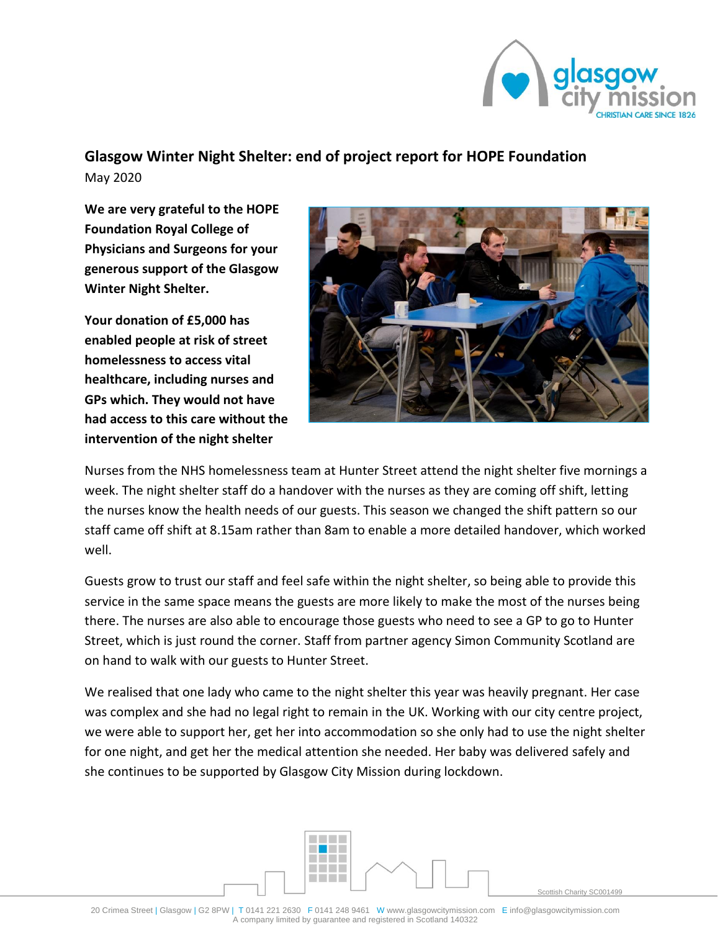

## **Glasgow Winter Night Shelter: end of project report for HOPE Foundation**

May 2020

**We are very grateful to the HOPE Foundation Royal College of Physicians and Surgeons for your generous support of the Glasgow Winter Night Shelter.** 

**Your donation of £5,000 has enabled people at risk of street homelessness to access vital healthcare, including nurses and GPs which. They would not have had access to this care without the intervention of the night shelter**



Nurses from the NHS homelessness team at Hunter Street attend the night shelter five mornings a week. The night shelter staff do a handover with the nurses as they are coming off shift, letting the nurses know the health needs of our guests. This season we changed the shift pattern so our staff came off shift at 8.15am rather than 8am to enable a more detailed handover, which worked well.

Guests grow to trust our staff and feel safe within the night shelter, so being able to provide this service in the same space means the guests are more likely to make the most of the nurses being there. The nurses are also able to encourage those guests who need to see a GP to go to Hunter Street, which is just round the corner. Staff from partner agency Simon Community Scotland are on hand to walk with our guests to Hunter Street.

We realised that one lady who came to the night shelter this year was heavily pregnant. Her case was complex and she had no legal right to remain in the UK. Working with our city centre project, we were able to support her, get her into accommodation so she only had to use the night shelter for one night, and get her the medical attention she needed. Her baby was delivered safely and she continues to be supported by Glasgow City Mission during lockdown.



Scottish Charity SC001499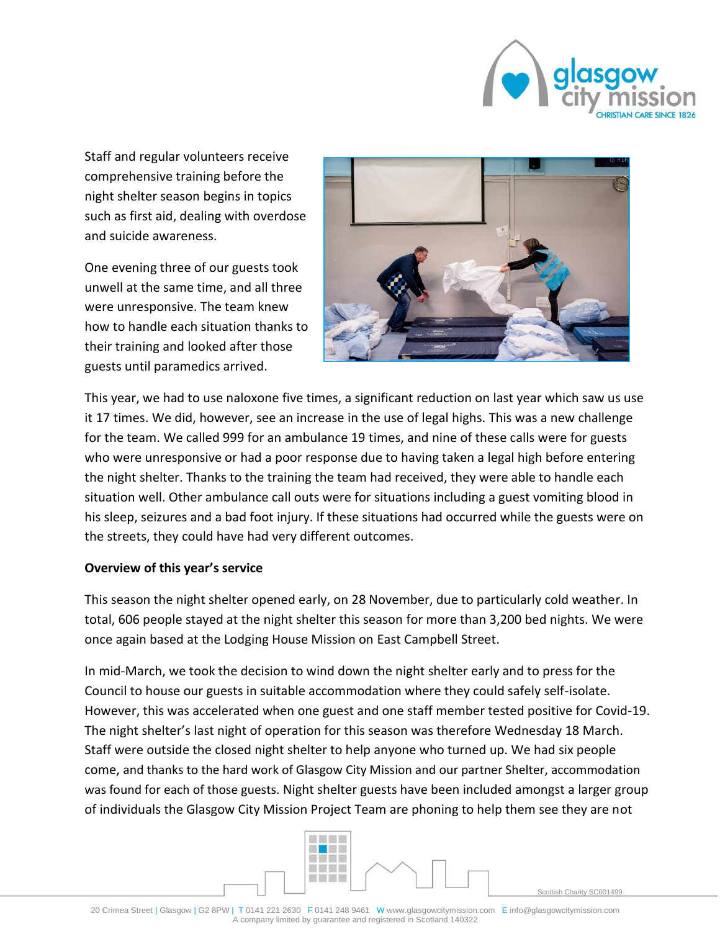

Staff and regular volunteers receive comprehensive training before the night shelter season begins in topics such as first aid, dealing with overdose and suicide awareness.

One evening three of our guests took unwell at the same time, and all three were unresponsive. The team knew how to handle each situation thanks to their training and looked after those guests until paramedics arrived.



This year, we had to use naloxone five times, a significant reduction on last year which saw us use it 17 times. We did, however, see an increase in the use of legal highs. This was a new challenge for the team. We called 999 for an ambulance 19 times, and nine of these calls were for guests who were unresponsive or had a poor response due to having taken a legal high before entering the night shelter. Thanks to the training the team had received, they were able to handle each situation well. Other ambulance call outs were for situations including a guest vomiting blood in his sleep, seizures and a bad foot injury. If these situations had occurred while the guests were on the streets, they could have had very different outcomes.

## **Overview of this year's service**

This season the night shelter opened early, on 28 November, due to particularly cold weather. In total, 606 people stayed at the night shelter this season for more than 3,200 bed nights. We were once again based at the Lodging House Mission on East Campbell Street.

In mid-March, we took the decision to wind down the night shelter early and to press for the Council to house our guests in suitable accommodation where they could safely self-isolate. However, this was accelerated when one guest and one staff member tested positive for Covid-19. The night shelter's last night of operation for this season was therefore Wednesday 18 March. Staff were outside the closed night shelter to help anyone who turned up. We had six people come, and thanks to the hard work of Glasgow City Mission and our partner Shelter, accommodation was found for each of those guests. Night shelter guests have been included amongst a larger group of individuals the Glasgow City Mission Project Team are phoning to help them see they are not



Scottish Charity SC001499